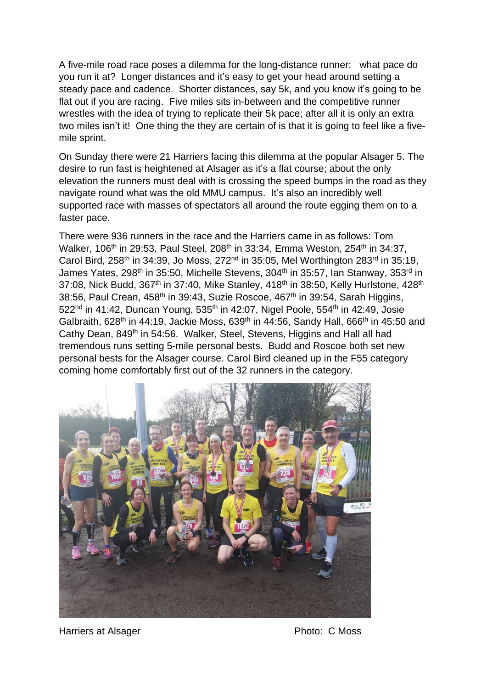A five-mile road race poses a dilemma for the long-distance runner: what pace do you run it at? Longer distances and it's easy to get your head around setting a steady pace and cadence. Shorter distances, say 5k, and you know it's going to be flat out if you are racing. Five miles sits in-between and the competitive runner wrestles with the idea of trying to replicate their 5k pace; after all it is only an extra two miles isn't it! One thing the they are certain of is that it is going to feel like a fivemile sprint.

On Sunday there were 21 Harriers facing this dilemma at the popular Alsager 5. The desire to run fast is heightened at Alsager as it's a flat course; about the only elevation the runners must deal with is crossing the speed bumps in the road as they navigate round what was the old MMU campus. It's also an incredibly well supported race with masses of spectators all around the route egging them on to a faster pace.

There were 936 runners in the race and the Harriers came in as follows: Tom Walker, 106<sup>th</sup> in 29:53, Paul Steel, 208<sup>th</sup> in 33:34, Emma Weston, 254<sup>th</sup> in 34:37, Carol Bird, 258<sup>th</sup> in 34:39, Jo Moss, 272<sup>nd</sup> in 35:05, Mel Worthington 283<sup>rd</sup> in 35:19, James Yates, 298<sup>th</sup> in 35:50, Michelle Stevens, 304<sup>th</sup> in 35:57, Ian Stanway, 353<sup>rd</sup> in 37:08, Nick Budd,  $367<sup>th</sup>$  in 37:40, Mike Stanley, 418<sup>th</sup> in 38:50, Kelly Hurlstone, 428<sup>th</sup> 38:56, Paul Crean, 458<sup>th</sup> in 39:43, Suzie Roscoe, 467<sup>th</sup> in 39:54, Sarah Higgins,  $522<sup>nd</sup>$  in 41:42, Duncan Young,  $535<sup>th</sup>$  in 42:07, Nigel Poole,  $554<sup>th</sup>$  in 42:49, Josie Galbraith, 628<sup>th</sup> in 44:19, Jackie Moss, 639<sup>th</sup> in 44:56, Sandy Hall, 666<sup>th</sup> in 45:50 and Cathy Dean, 849<sup>th</sup> in 54:56. Walker, Steel, Stevens, Higgins and Hall all had tremendous runs setting 5-mile personal bests. Budd and Roscoe both set new personal bests for the Alsager course. Carol Bird cleaned up in the F55 category coming home comfortably first out of the 32 runners in the category.



Harriers at Alsager **Photo: C Moss**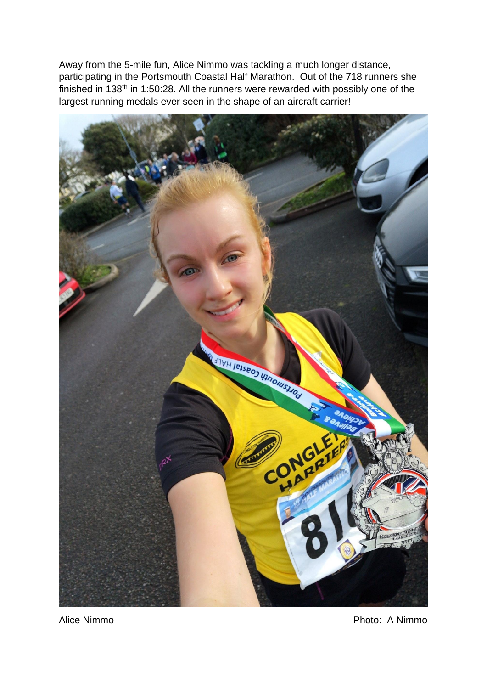Away from the 5-mile fun, Alice Nimmo was tackling a much longer distance, participating in the Portsmouth Coastal Half Marathon. Out of the 718 runners she finished in 138th in 1:50:28. All the runners were rewarded with possibly one of the largest running medals ever seen in the shape of an aircraft carrier!



Alice Nimmo **Photo: A Nimmo**